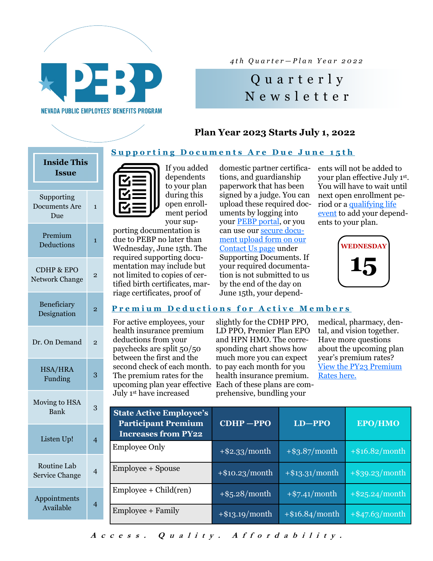

*4 t h Q u a r t e r — P l a n Y e a r 2 0 2 2*

## Q u a r t e r l y N e w s l e t t e r

### **Plan Year 2023 Starts July 1, 2022**

#### **Supporting Documents Are Due June 15th**

**Premium Deductions for Active Members** 

## Supporting Documents Are Due 1 Premium Deductions <sup>1</sup> CDHP & EPO  $\frac{1}{2}$ Network Change Beneficiary Designation <sup>2</sup> Dr. On Demand 2 HSA/HRA  $Funding \qquad \qquad 3$ Moving to HSA **Bank** Listen Up! Routine Lab Service Change Appointments Available <sup>4</sup> **Inside This Issue**



dependents to your plan during this open enrollment period your sup-

porting documentation is due to PEBP no later than Wednesday, June 15th. The required supporting documentation may include but not limited to copies of certified birth certificates, marriage certificates, proof of

For active employees, your health insurance premium deductions from your paychecks are split 50/50 between the first and the second check of each month. to pay each month for you The premium rates for the upcoming plan year effective Each of these plans are com-July 1st have increased

domestic partner certifications, and guardianship paperwork that has been signed by a judge. You can upload these required documents by logging into your [PEBP portal,](https://epebp.nevadabenefits.org/account/login/MustAuthLogin?target=http%3a%2f%2fepebp.nevadabenefits.org%2f#/login) or you can use our [secure docu](https://pebp.state.nv.us/contact-us/)[ment upload form on our](https://pebp.state.nv.us/contact-us/)  [Contact Us page](https://pebp.state.nv.us/contact-us/) under Supporting Documents. If your required documentation is not submitted to us by the end of the day on June 15th, your dependents will not be added to your plan effective July 1st . You will have to wait until next open enrollment period or a [qualifying life](https://pebp.state.nv.us/wp-content/uploads/2021/07/Qualifying-Life-Events-PY22.pdf)  [event](https://pebp.state.nv.us/wp-content/uploads/2021/07/Qualifying-Life-Events-PY22.pdf) to add your dependents to your plan.



slightly for the CDHP PPO, LD PPO, Premier Plan EPO and HPN HMO. The corresponding chart shows how much more you can expect health insurance premium. prehensive, bundling your

medical, pharmacy, dental, and vision together. Have more questions about the upcoming plan year's premium rates? [View the PY23 Premium](https://pebp.state.nv.us/wp-content/uploads/2022/05/PY23_All-Rates.pdf)  [Rates here.](https://pebp.state.nv.us/wp-content/uploads/2022/05/PY23_All-Rates.pdf)

| 3<br>$\overline{4}$ | <b>State Active Employee's</b><br><b>Participant Premium</b><br><b>Increases from PY22</b> | CDHP-PPO          | $LD - PPO$        | <b>EPO/HMO</b>    |
|---------------------|--------------------------------------------------------------------------------------------|-------------------|-------------------|-------------------|
|                     | <b>Employee Only</b>                                                                       | $+$ \$2.33/month  | $+$ \$3.87/month  | $+$ \$16.82/month |
| $\overline{4}$      | <b>Employee + Spouse</b>                                                                   | $+$ \$10.23/month | $+$ \$13.31/month | $+$ \$39.23/month |
| 4                   | $Employee + Child (ren)$                                                                   | $+$ \$5.28/month  | $+$ \$7.41/month  | $+$ \$25.24/month |
|                     | Employee + Family                                                                          | $+$ \$13.19/month | $+$ \$16.84/month | $+$ \$47.63/month |

Access. Quality. Affordability.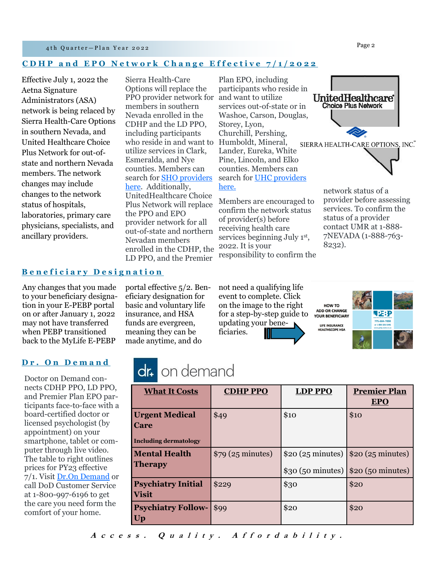#### 4th Quarter-Plan Year 2022

#### **CDHP and EPO Network Change Effective**  $7/1/2022$

Effective July 1, 2022 the Aetna Signature Administrators (ASA) network is being relaced by Sierra Health-Care Options in southern Nevada, and United Healthcare Choice Plus Network for out-ofstate and northern Nevada members. The network changes may include changes to the network status of hospitals, laboratories, primary care physicians, specialists, and ancillary providers.

Sierra Health-Care Options will replace the PPO provider network for members in southern Nevada enrolled in the CDHP and the LD PPO, including participants who reside in and want to utilize services in Clark, Esmeralda, and Nye counties. Members can search for [SHO providers](https://www.sierrahealthcareoptions.com/)  [here.](https://www.sierrahealthcareoptions.com/) Additionally, UnitedHealthcare Choice Plus Network will replace the PPO and EPO provider network for all out-of-state and northern Nevadan members enrolled in the CDHP, the LD PPO, and the Premier

Plan EPO, including participants who reside in and want to utilize **UnitedHealthcare** services out-of-state or in Washoe, Carson, Douglas, Storey, Lyon, Churchill, Pershing, Humboldt, Mineral, Lander, Eureka, White Pine, Lincoln, and Elko counties. Members can search for [UHC providers](https://www.umr.com/tpa-ap-web/?navDeepDive=publicFindAProvider)  [here.](https://www.umr.com/tpa-ap-web/?navDeepDive=publicFindAProvider)

Members are encouraged to confirm the network status of provider(s) before receiving health care services beginning July 1<sup>st</sup>, 2022. It is your responsibility to confirm the



#### **B e n e f i c i a r y D e s i g n a t i o n**

Any changes that you made to your beneficiary designation in your E-PEBP portal on or after January 1, 2022 may not have transferred when PEBP transitioned back to the MyLife E-PEBP

portal effective 5/2. Beneficiary designation for basic and voluntary life insurance, and HSA funds are evergreen, meaning they can be made anytime, and do

not need a qualifying life event to complete. Click on the image to the right for a step-by-step guide to updating your beneficiaries.

HOW TO **ADD OR CHANGE YOUR BENEFICIARY** LIFE INSURANCE<br>HEALTHSCOPE HSA

8232).



#### **D r . O n D e m a n d**

Doctor on Demand connects CDHP PPO, LD PPO, and Premier Plan EPO participants face-to-face with a board-certified doctor or licensed psychologist (by appointment) on your smartphone, tablet or computer through live video. The table to right outlines prices for PY23 effective 7/1. Visit [Dr.On Demand](https://doctorondemand.com/) or call DoD Customer Service at 1-800-997-6196 to get the care you need form the comfort of your home.

# dr. on demand

| <b>What It Costs</b>                                                 | <b>CDHP PPO</b>    | <b>LDP PPO</b> | <b>Premier Plan</b><br><b>EPO</b>                                                            |
|----------------------------------------------------------------------|--------------------|----------------|----------------------------------------------------------------------------------------------|
| <b>Urgent Medical</b><br><b>Care</b><br><b>Including dermatology</b> | \$49               | \$10           | \$10                                                                                         |
| <b>Mental Health</b><br><b>Therapy</b>                               | $$79$ (25 minutes) |                | $$20 (25 minutes)$ $$20 (25 minutes)$<br>$\vert \$ 30 (50 minutes) $\vert \$ 20 (50 minutes) |
| <b>Psychiatry Initial</b><br><b>Visit</b>                            | \$229              | \$30           | \$20                                                                                         |
| <b>Psychiatry Follow-</b><br>Up                                      | \$99               | \$20           | \$20                                                                                         |

**Choice Plus Network** 

Access. Quality. Affordability.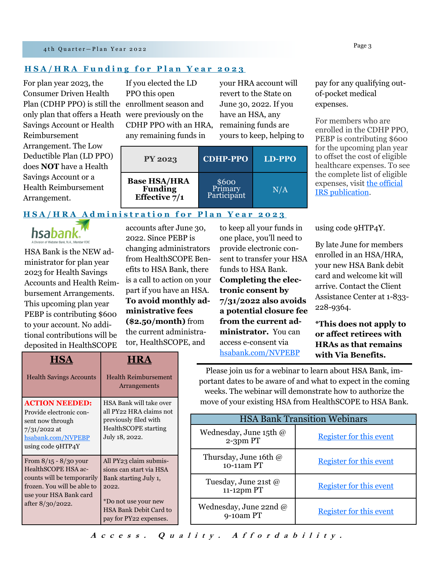#### **HSA/HRA Funding for Plan Year 2023**

For plan year 2023, the Consumer Driven Health Plan (CDHP PPO) is still the enrollment season and only plan that offers a Heath were previously on the Savings Account or Health Reimbursement Arrangement. The Low Deductible Plan (LD PPO) does **NOT** have a Health Savings Account or a Health Reimbursement Arrangement.

If you elected the LD PPO this open CDHP PPO with an HRA, any remaining funds in

your HRA account will revert to the State on June 30, 2022. If you have an HSA, any remaining funds are yours to keep, helping to

| <b>PY 2023</b>                                                      | <b>CDHP-PPO</b>                 | <b>LD-PPO</b> |
|---------------------------------------------------------------------|---------------------------------|---------------|
| <b>Base HSA/HRA</b><br><b>Funding</b><br>Effective $\frac{1}{7}$ /1 | \$600<br>Primary<br>Participant | N/A           |

pay for any qualifying outof-pocket medical expenses.

For members who are enrolled in the CDHP PPO, PEBP is contributing \$600 for the upcoming plan year to offset the cost of eligible healthcare expenses. To see the complete list of eligible expenses, visit [the official](https://www.irs.gov/publications/p502)  [IRS publication.](https://www.irs.gov/publications/p502) 

**HSA/HRA Administration for Plan Year 2023** 



HSA Bank is the NEW administrator for plan year 2023 for Health Savings Accounts and Health Reimbursement Arrangements. This upcoming plan year PEBP is contributing \$600 to your account. No additional contributions will be deposited in HealthSCOPE

accounts after June 30, 2022. Since PEBP is changing administrators from HealthSCOPE Benefits to HSA Bank, there is a call to action on your part if you have an HSA. **To avoid monthly administrative fees (\$2.50/month)** from the current administrator, HealthSCOPE, and

to keep all your funds in one place, you'll need to provide electronic consent to transfer your HSA funds to HSA Bank. **Completing the electronic consent by 7/31/2022 also avoids a potential closure fee from the current administrator.** You can access e-consent via [hsabank.com/NVPEBP](https://www.hsabank.com/hsabank/partner-sites/state-of-nevada-pebp/home)

using code 9HTP4Y.

By late June for members enrolled in an HSA/HRA, your new HSA Bank debit card and welcome kit will arrive. Contact the Client Assistance Center at 1-833- 228-9364.

**\*This does not apply to or affect retirees with HRAs as that remains** 

| <b>HSA</b>                                                                          | <b>HRA</b>                                                                                                                                                      |  | hsabank.com/NVPEBP                                                                                                                                                     | with Via Benefits.                                |  |
|-------------------------------------------------------------------------------------|-----------------------------------------------------------------------------------------------------------------------------------------------------------------|--|------------------------------------------------------------------------------------------------------------------------------------------------------------------------|---------------------------------------------------|--|
| <b>Health Savings Accounts</b>                                                      | <b>Health Reimbursement</b><br>Arrangements                                                                                                                     |  | Please join us for a webinar to learn about HSA Bank<br>portant dates to be aware of and what to expect in the<br>weeks. The webinar will demonstrate how to authorize |                                                   |  |
| <b>ACTION NEEDED:</b><br>Provide electronic con-                                    | HSA Bank will take over<br>all PY22 HRA claims not                                                                                                              |  |                                                                                                                                                                        | move of your existing HSA from HealthSCOPE to HSA |  |
| sent now through                                                                    | previously filed with<br><b>HealthSCOPE</b> starting<br>July 18, 2022.                                                                                          |  | <b>HSA Bank Transition Webinars</b>                                                                                                                                    |                                                   |  |
| $7/31/2022$ at<br>hsabank.com/NVPEBP<br>using code 9HTP4Y                           |                                                                                                                                                                 |  | Wednesday, June 15th @<br>$2-3$ pm PT                                                                                                                                  | Register for this eve                             |  |
| From $8/15 - 8/30$ your<br>HealthSCOPE HSA ac-                                      | All PY23 claim submis-<br>sions can start via HSA<br>Bank starting July 1,<br>2022.<br>*Do not use your new<br>HSA Bank Debit Card to<br>pay for PY22 expenses. |  | Thursday, June 16th @<br>10-11am PT                                                                                                                                    | Register for this eve                             |  |
| counts will be temporarily<br>frozen. You will be able to<br>use your HSA Bank card |                                                                                                                                                                 |  | Tuesday, June 21st @<br>11-12pm PT                                                                                                                                     | Register for this eve                             |  |
| after $8/30/2022$ .                                                                 |                                                                                                                                                                 |  | Wednesday, June 22nd @<br>9-10am PT                                                                                                                                    | Register for this eve                             |  |

Please join us for a webinar to learn about HSA Bank, important dates to be aware of and what to expect in the coming weeks. The webinar will demonstrate how to authorize the move of your existing HSA from HealthSCOPE to HSA Bank.

| <b>HSA Bank Transition Webinars</b>   |                                |  |  |
|---------------------------------------|--------------------------------|--|--|
| Wednesday, June 15th @<br>2-3pm PT    | <b>Register for this event</b> |  |  |
| Thursday, June 16th $@$<br>10-11am PT | <b>Register for this event</b> |  |  |
| Tuesday, June 21st $@$<br>11-12pm PT  | <b>Register for this event</b> |  |  |
| Wednesday, June 22nd $@$<br>9-10am PT | <b>Register for this event</b> |  |  |

## Access. Quality. Affordability.